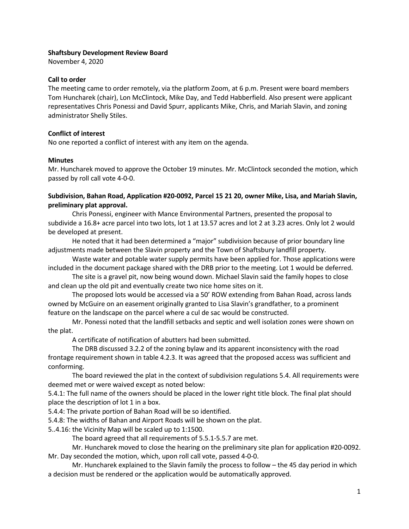#### Shaftsbury Development Review Board

November 4, 2020

#### Call to order

The meeting came to order remotely, via the platform Zoom, at 6 p.m. Present were board members Tom Huncharek (chair), Lon McClintock, Mike Day, and Tedd Habberfield. Also present were applicant representatives Chris Ponessi and David Spurr, applicants Mike, Chris, and Mariah Slavin, and zoning administrator Shelly Stiles.

### Conflict of interest

No one reported a conflict of interest with any item on the agenda.

#### **Minutes**

Mr. Huncharek moved to approve the October 19 minutes. Mr. McClintock seconded the motion, which passed by roll call vote 4-0-0.

## Subdivision, Bahan Road, Application #20-0092, Parcel 15 21 20, owner Mike, Lisa, and Mariah Slavin, preliminary plat approval.

Chris Ponessi, engineer with Mance Environmental Partners, presented the proposal to subdivide a 16.8+ acre parcel into two lots, lot 1 at 13.57 acres and lot 2 at 3.23 acres. Only lot 2 would be developed at present.

He noted that it had been determined a "major" subdivision because of prior boundary line adjustments made between the Slavin property and the Town of Shaftsbury landfill property.

Waste water and potable water supply permits have been applied for. Those applications were included in the document package shared with the DRB prior to the meeting. Lot 1 would be deferred.

The site is a gravel pit, now being wound down. Michael Slavin said the family hopes to close and clean up the old pit and eventually create two nice home sites on it.

The proposed lots would be accessed via a 50' ROW extending from Bahan Road, across lands owned by McGuire on an easement originally granted to Lisa Slavin's grandfather, to a prominent feature on the landscape on the parcel where a cul de sac would be constructed.

Mr. Ponessi noted that the landfill setbacks and septic and well isolation zones were shown on the plat.

A certificate of notification of abutters had been submitted.

The DRB discussed 3.2.2 of the zoning bylaw and its apparent inconsistency with the road frontage requirement shown in table 4.2.3. It was agreed that the proposed access was sufficient and conforming.

The board reviewed the plat in the context of subdivision regulations 5.4. All requirements were deemed met or were waived except as noted below:

5.4.1: The full name of the owners should be placed in the lower right title block. The final plat should place the description of lot 1 in a box.

5.4.4: The private portion of Bahan Road will be so identified.

5.4.8: The widths of Bahan and Airport Roads will be shown on the plat.

5..4.16: the Vicinity Map will be scaled up to 1:1500.

The board agreed that all requirements of 5.5.1-5.5.7 are met.

Mr. Huncharek moved to close the hearing on the preliminary site plan for application #20-0092. Mr. Day seconded the motion, which, upon roll call vote, passed 4-0-0.

Mr. Huncharek explained to the Slavin family the process to follow – the 45 day period in which a decision must be rendered or the application would be automatically approved.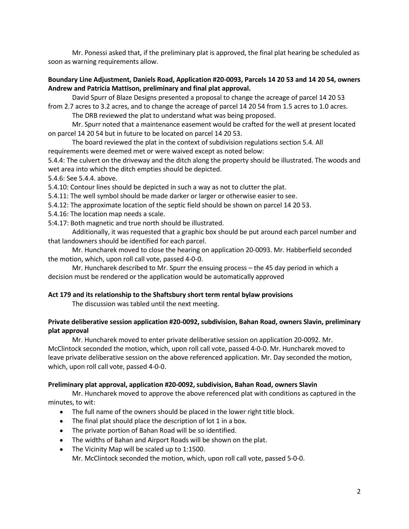Mr. Ponessi asked that, if the preliminary plat is approved, the final plat hearing be scheduled as soon as warning requirements allow.

### Boundary Line Adjustment, Daniels Road, Application #20-0093, Parcels 14 20 53 and 14 20 54, owners Andrew and Patricia Mattison, preliminary and final plat approval.

David Spurr of Blaze Designs presented a proposal to change the acreage of parcel 14 20 53 from 2.7 acres to 3.2 acres, and to change the acreage of parcel 14 20 54 from 1.5 acres to 1.0 acres.

The DRB reviewed the plat to understand what was being proposed.

Mr. Spurr noted that a maintenance easement would be crafted for the well at present located on parcel 14 20 54 but in future to be located on parcel 14 20 53.

The board reviewed the plat in the context of subdivision regulations section 5.4. All requirements were deemed met or were waived except as noted below:

5.4.4: The culvert on the driveway and the ditch along the property should be illustrated. The woods and wet area into which the ditch empties should be depicted.

5.4.6: See 5.4.4. above.

5.4.10: Contour lines should be depicted in such a way as not to clutter the plat.

5.4.11: The well symbol should be made darker or larger or otherwise easier to see.

5.4.12: The approximate location of the septic field should be shown on parcel 14 20 53.

5.4.16: The location map needs a scale.

5:4.17: Both magnetic and true north should be illustrated.

Additionally, it was requested that a graphic box should be put around each parcel number and that landowners should be identified for each parcel.

Mr. Huncharek moved to close the hearing on application 20-0093. Mr. Habberfield seconded the motion, which, upon roll call vote, passed 4-0-0.

Mr. Huncharek described to Mr. Spurr the ensuing process – the 45 day period in which a decision must be rendered or the application would be automatically approved

### Act 179 and its relationship to the Shaftsbury short term rental bylaw provisions

The discussion was tabled until the next meeting.

## Private deliberative session application #20-0092, subdivision, Bahan Road, owners Slavin, preliminary plat approval

Mr. Huncharek moved to enter private deliberative session on application 20-0092. Mr. McClintock seconded the motion, which, upon roll call vote, passed 4-0-0. Mr. Huncharek moved to leave private deliberative session on the above referenced application. Mr. Day seconded the motion, which, upon roll call vote, passed 4-0-0.

### Preliminary plat approval, application #20-0092, subdivision, Bahan Road, owners Slavin

Mr. Huncharek moved to approve the above referenced plat with conditions as captured in the minutes, to wit:

- The full name of the owners should be placed in the lower right title block.
- The final plat should place the description of lot 1 in a box.
- The private portion of Bahan Road will be so identified.
- The widths of Bahan and Airport Roads will be shown on the plat.
- The Vicinity Map will be scaled up to 1:1500. Mr. McClintock seconded the motion, which, upon roll call vote, passed 5-0-0.